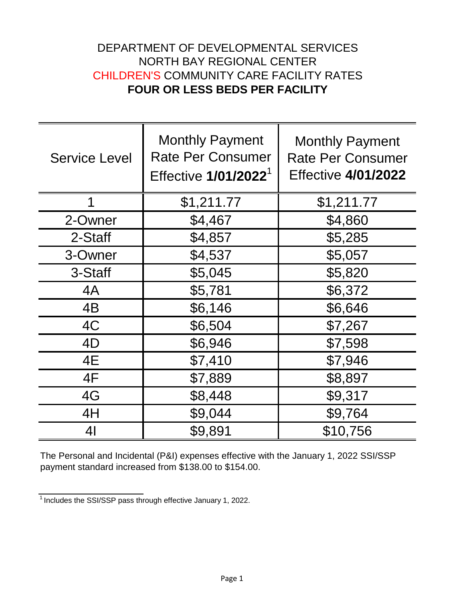## DEPARTMENT OF DEVELOPMENTAL SERVICES NORTH BAY REGIONAL CENTER CHILDREN'S COMMUNITY CARE FACILITY RATES **FOUR OR LESS BEDS PER FACILITY**

| <b>Service Level</b> | <b>Monthly Payment</b><br><b>Rate Per Consumer</b><br>Effective 1/01/2022 <sup>1</sup> | <b>Monthly Payment</b><br><b>Rate Per Consumer</b><br><b>Effective 4/01/2022</b> |
|----------------------|----------------------------------------------------------------------------------------|----------------------------------------------------------------------------------|
| 1                    | \$1,211.77                                                                             | \$1,211.77                                                                       |
| 2-Owner              | \$4,467                                                                                | \$4,860                                                                          |
| 2-Staff              | \$4,857                                                                                | \$5,285                                                                          |
| 3-Owner              | \$4,537                                                                                | \$5,057                                                                          |
| 3-Staff              | \$5,045                                                                                | \$5,820                                                                          |
| 4A                   | \$5,781                                                                                | \$6,372                                                                          |
| 4B                   | \$6,146                                                                                | \$6,646                                                                          |
| 4C                   | \$6,504                                                                                | \$7,267                                                                          |
| 4D                   | \$6,946                                                                                | \$7,598                                                                          |
| 4E                   | \$7,410                                                                                | \$7,946                                                                          |
| 4F                   | \$7,889                                                                                | \$8,897                                                                          |
| 4G                   | \$8,448                                                                                | \$9,317                                                                          |
| 4H                   | \$9,044                                                                                | \$9,764                                                                          |
| 4 <sub>l</sub>       | \$9,891                                                                                | \$10,756                                                                         |

The Personal and Incidental (P&I) expenses effective with the January 1, 2022 SSI/SSP payment standard increased from \$138.00 to \$154.00.

 $\frac{1}{1}$  Includes the SSI/SSP pass through effective January 1, 2022.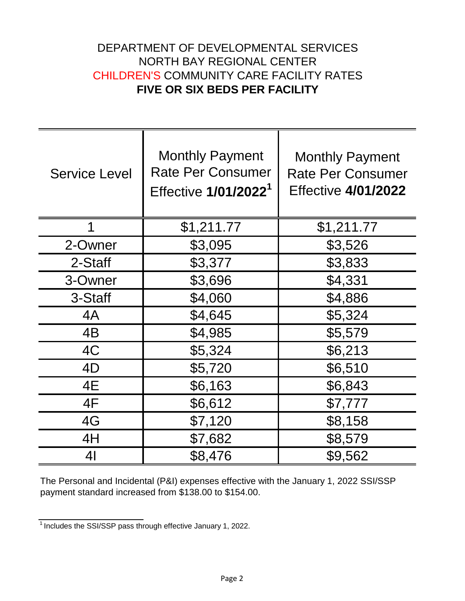## DEPARTMENT OF DEVELOPMENTAL SERVICES NORTH BAY REGIONAL CENTER CHILDREN'S COMMUNITY CARE FACILITY RATES **FIVE OR SIX BEDS PER FACILITY**

| <b>Service Level</b> | <b>Monthly Payment</b><br><b>Rate Per Consumer</b><br>Effective 1/01/2022 <sup>1</sup> | <b>Monthly Payment</b><br><b>Rate Per Consumer</b><br><b>Effective 4/01/2022</b> |
|----------------------|----------------------------------------------------------------------------------------|----------------------------------------------------------------------------------|
| 1                    | \$1,211.77                                                                             | \$1,211.77                                                                       |
| 2-Owner              | \$3,095                                                                                | \$3,526                                                                          |
| 2-Staff              | \$3,377                                                                                | \$3,833                                                                          |
| 3-Owner              | \$3,696                                                                                | \$4,331                                                                          |
| 3-Staff              | \$4,060                                                                                | \$4,886                                                                          |
| 4A                   | \$4,645                                                                                | \$5,324                                                                          |
| 4B                   | \$4,985                                                                                | \$5,579                                                                          |
| 4C                   | \$5,324                                                                                | \$6,213                                                                          |
| 4D                   | \$5,720                                                                                | \$6,510                                                                          |
| 4E                   | \$6,163                                                                                | \$6,843                                                                          |
| 4F                   | \$6,612                                                                                | \$7,777                                                                          |
| 4G                   | \$7,120                                                                                | \$8,158                                                                          |
| 4H                   | \$7,682                                                                                | \$8,579                                                                          |
| 4 <sub>l</sub>       | \$8,476                                                                                | \$9,562                                                                          |

The Personal and Incidental (P&I) expenses effective with the January 1, 2022 SSI/SSP payment standard increased from \$138.00 to \$154.00.

 $\frac{1}{1}$  Includes the SSI/SSP pass through effective January 1, 2022.